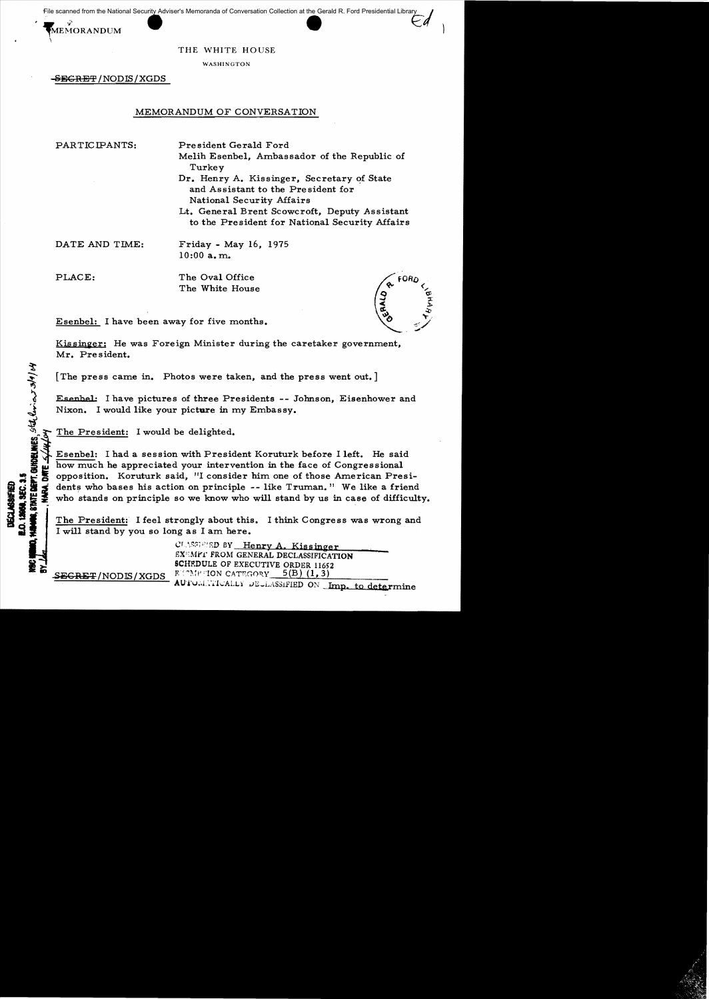File scanned from the National Security Adviser's Memoranda of Conversation Collection at the Gerald R. Ford Presidential Library

MEMORANDUM

THE WHITE HOUSE

WASHINGTON

<del>-SECRET</del> / NODIS / XGDS

## MEMORANDUM OF CONVERSATION

PARTICIPANTS:

President Gerald Ford Melih Esenbel, Ambassador of the Republic of Turkey

Dr. Henry A. Kissinger, Secretary of State and Assistant to the President for National Security Affairs

Lt. General Brent Scowcroft, Deputy Assistant to the President for National Security Affairs

DATE AND TIME:

Friday - May 16, 1975  $10:00$  a.m.

PLACE:

STATE DEPT. GUIDELINES, SECT. CL. er 3/9/04

12060, SEC. 3.5

DECLASSIFIE

ARA, DATE

The Oval Office The White House

Esenbel: I have been away for five months.

Kissinger: He was Foreign Minister during the caretaker government, Mr. President.

The press came in. Photos were taken, and the press went out.

Esenbel: I have pictures of three Presidents -- Johnson, Eisenhower and Nixon. I would like your picture in my Embassy.

The President: I would be delighted.

Esenbel: I had a session with President Koruturk before I left. He said how much he appreciated your intervention in the face of Congressional opposition. Koruturk said, "I consider him one of those American Presidents who bases his action on principle -- like Truman." We like a friend who stands on principle so we know who will stand by us in case of difficulty.

The President: I feel strongly about this. I think Congress was wrong and I will stand by you so long as I am here.

> CLASSEED BY Henry A. Kissinger EX MPT FROM GENERAL DECLASSIFICATION SCHEDULE OF EXECUTIVE ORDER 11652 BUTMENTION CATEGORY  $5(B)$   $(1, 3)$

**SEGRET/NODIS/XGDS** 

AUTOMATICALLY DECLASSIFIED ON Imp. to determine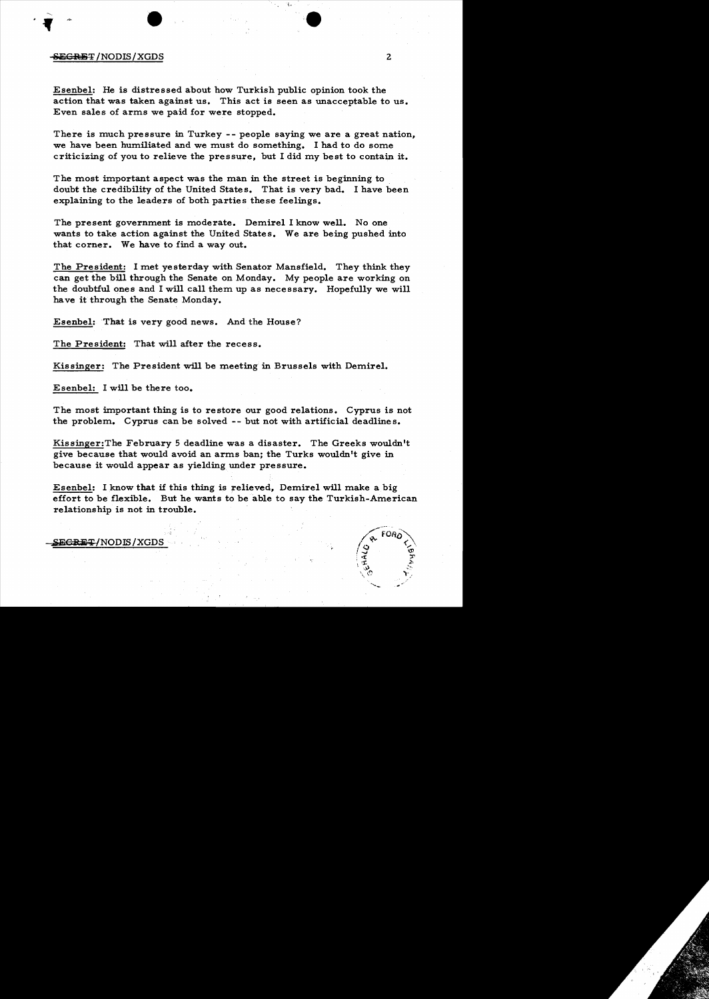## $S$ EGRET /NODIS/XGDS  $2$

Esenbel: He is distressed about how Turkish public opinion took the action that was taken against us. This act is seen as unacceptable to us. Even sales of arms we paid for were stopped.

There is much pressure in Turkey -- people saying we are a great nation, we have been humiliated and we must do something. I had to do some criticizing of you to relieve the pressure, but I did my best to contain it.

The most important aspect was the man in the street is beginning to doubt the credibility of the United States. That is very bad. I have been explaining to the leaders of both parties these feelings.

The present government is moderate. Demirel I know well. No one wants to take action against the United States. We are being pushed into that corner. We have to find a way out.

The President: I met yesterday with Senator Mansfield. They think they can get the bill through the Senate on Monday. My people are working on the doubtful ones and I will call them up as necessary. Hopefully we will have it through the Senate Monday.

Esenbel: 'That is very good news. And the House?

The President: That will after the recess.

Kissinger: The President will be meeting in Brussels with Demirel.

Esenbel: I will be there too.

The most important thing is to restore our good relations. Cyprus is not the problem. Cyprus can be solved -- but not with artificial deadlines.

Kissinger:The February 5 deadline was a disaster. The Greeks wouldn't give because that would avoid an arms ban; the Turks wouldn't give in because it would appear as yielding under pressure.

Esenbel: I know that if this thing is relieved, Demirel will make a big effort to be flexible. But he wants to be able to say the Turkish-American relationship is not in trouble.

## ${SE@RFT} / \mathrm{NODIS} / \mathrm{XGDS}$

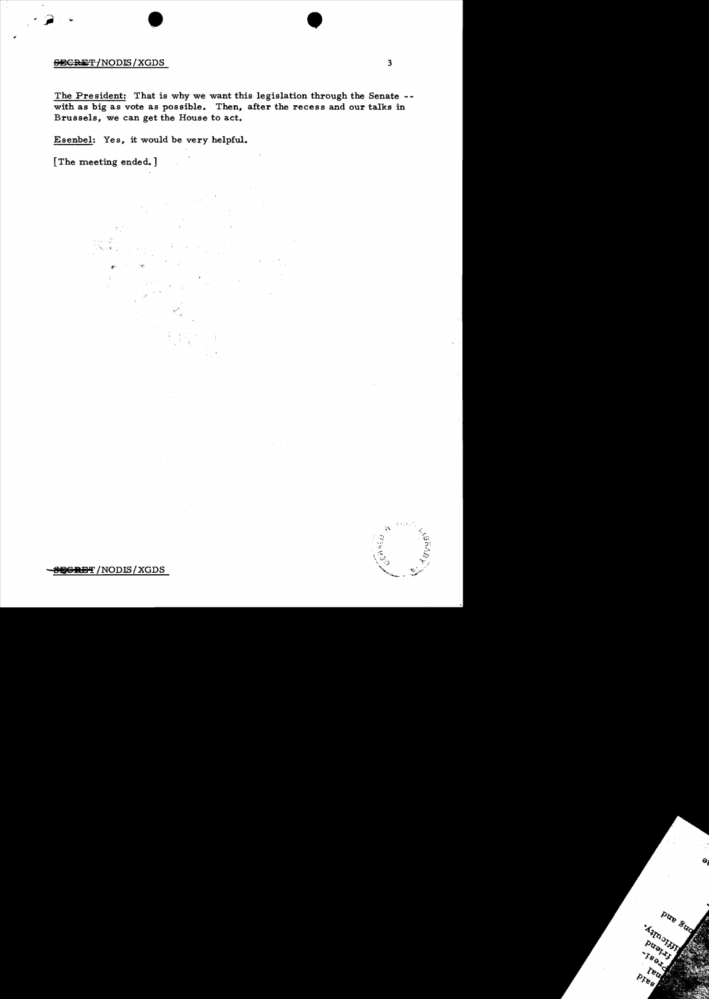## SECRET/NODIS/XGDS 3

The President: That is why we want this legislation through the Senate with as big as vote as possible. Then, after the recess and our talks in Brussels, we can get the House to act.

 $\bullet$ 

Esenbel: Yes, it would be very helpful.

•

[The meeting ended.]

 $\ddot{\varepsilon}$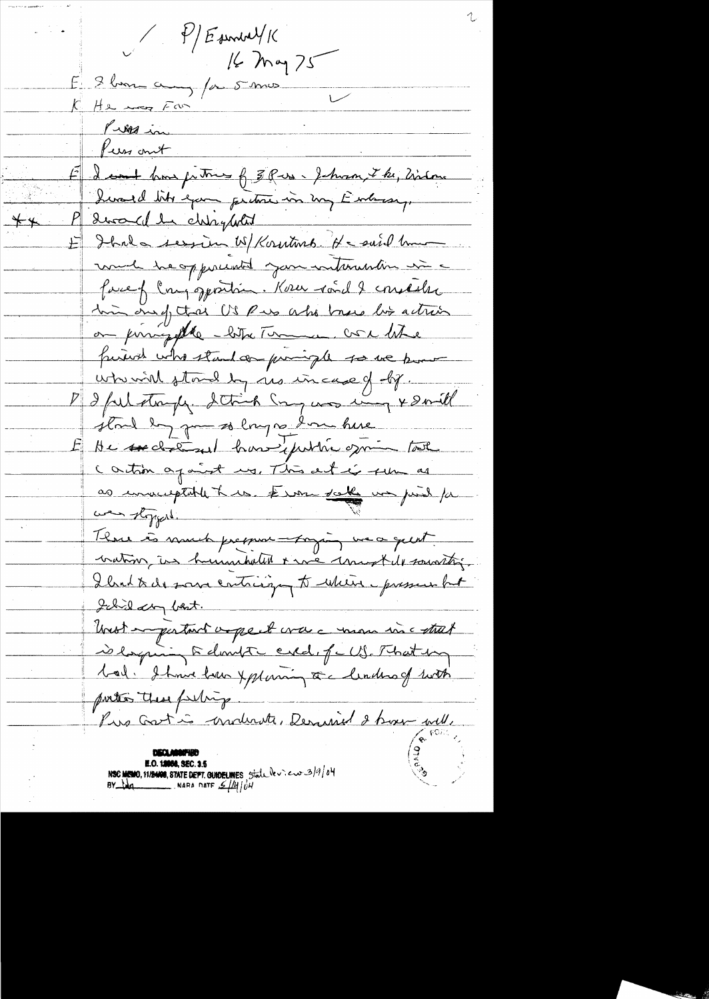$E = 2 \text{ km } \sim 1$  /2 mm E deant how fitting of 3 Pus phone the, history hvald lite exam perdone in my Eurosay. dera cel la chippetit Ibala ression W/Korntwrd. He suid human much heapperment your internation in a facef Congoportion. Kow road & constales I'm one of that US Pues who brous but action on possigette -bitre Termen core litre furiod who stand on pumiple so we know when will stored by no incase of by. De de ful stamper. Detroit Song was my 4 don't stout by part 20 long as I muchere He sechant huse public opin tothe Cartion against my, This act is fun as as immergeable true ét une solle un print par Thus is much pression - paging we a quint nation, in humakelled & we unworthle sounting. I brit de sous contrision to when pressent but Ichild any best. Unest empertant appeal was a more incontrat is la quing to dont a cred, full That my bal. I have lour Xplaning ca leaders of with portes these perhip. Pie Gastin conducte, Derusiel 2 bien sull. **E.O. 19956, SEC. 3-5** NSC MEMO, 11/24000, STATE DEPT. GUIDELINES State leview 3/9/04<br>BY LAQ

 $\overline{**}$